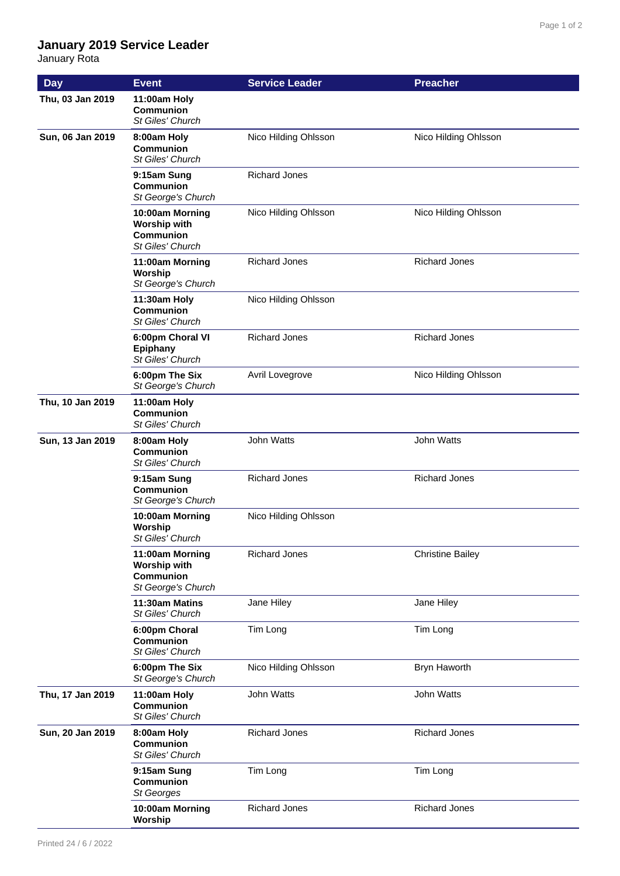## **January 2019 Service Leader**

January Rota

| <b>Day</b>       | <b>Event</b>                                                                     | <b>Service Leader</b> | <b>Preacher</b>         |
|------------------|----------------------------------------------------------------------------------|-----------------------|-------------------------|
| Thu, 03 Jan 2019 | 11:00am Holy<br><b>Communion</b><br>St Giles' Church                             |                       |                         |
| Sun, 06 Jan 2019 | 8:00am Holy<br><b>Communion</b><br>St Giles' Church                              | Nico Hilding Ohlsson  | Nico Hilding Ohlsson    |
|                  | 9:15am Sung<br>Communion<br>St George's Church                                   | <b>Richard Jones</b>  |                         |
|                  | 10:00am Morning<br><b>Worship with</b><br>Communion<br><b>St Giles' Church</b>   | Nico Hilding Ohlsson  | Nico Hilding Ohlsson    |
|                  | 11:00am Morning<br>Worship<br>St George's Church                                 | <b>Richard Jones</b>  | <b>Richard Jones</b>    |
|                  | 11:30am Holy<br>Communion<br><b>St Giles' Church</b>                             | Nico Hilding Ohlsson  |                         |
|                  | 6:00pm Choral VI<br><b>Epiphany</b><br>St Giles' Church                          | <b>Richard Jones</b>  | <b>Richard Jones</b>    |
|                  | 6:00pm The Six<br>St George's Church                                             | Avril Lovegrove       | Nico Hilding Ohlsson    |
| Thu, 10 Jan 2019 | 11:00am Holy<br>Communion<br>St Giles' Church                                    |                       |                         |
| Sun, 13 Jan 2019 | 8:00am Holy<br><b>Communion</b><br>St Giles' Church                              | John Watts            | John Watts              |
|                  | 9:15am Sung<br><b>Communion</b><br>St George's Church                            | <b>Richard Jones</b>  | <b>Richard Jones</b>    |
|                  | 10:00am Morning<br>Worship<br>St Giles' Church                                   | Nico Hilding Ohlsson  |                         |
|                  | 11:00am Morning<br><b>Worship with</b><br><b>Communion</b><br>St George's Church | <b>Richard Jones</b>  | <b>Christine Bailey</b> |
|                  | 11:30am Matins<br>St Giles' Church                                               | Jane Hiley            | Jane Hiley              |
|                  | 6:00pm Choral<br>Communion<br>St Giles' Church                                   | Tim Long              | Tim Long                |
|                  | 6:00pm The Six<br>St George's Church                                             | Nico Hilding Ohlsson  | Bryn Haworth            |
| Thu, 17 Jan 2019 | 11:00am Holy<br>Communion<br>St Giles' Church                                    | John Watts            | John Watts              |
| Sun, 20 Jan 2019 | 8:00am Holy<br>Communion<br>St Giles' Church                                     | <b>Richard Jones</b>  | <b>Richard Jones</b>    |
|                  | 9:15am Sung<br>Communion<br>St Georges                                           | Tim Long              | Tim Long                |
|                  | 10:00am Morning<br>Worship                                                       | <b>Richard Jones</b>  | <b>Richard Jones</b>    |